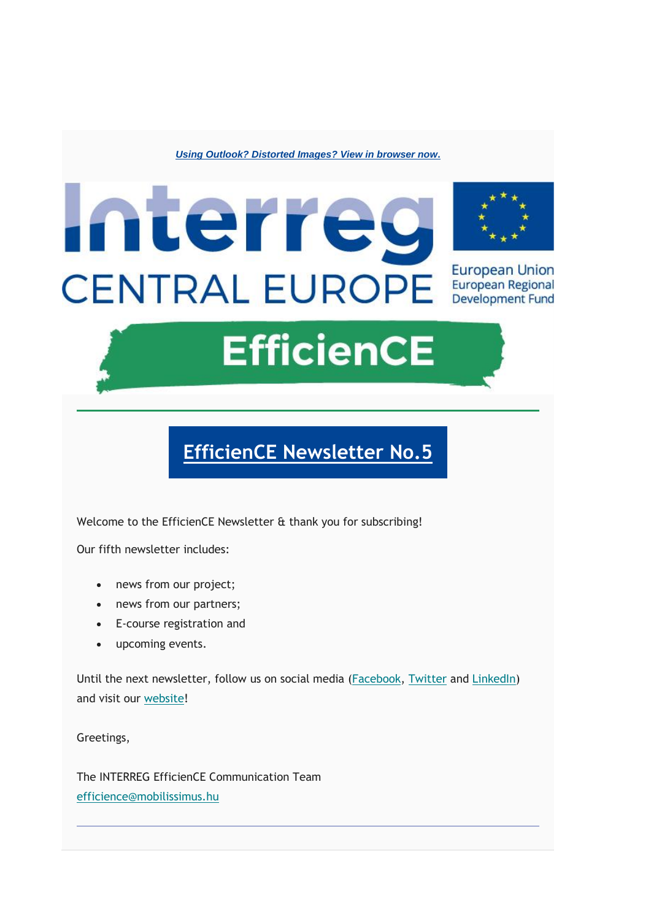*[Using Outlook? Distorted Images? View in browser now](https://mailchi.mp/e5289f6260da/interreg-efficience-newsletter-no2-15877651?e=%5bUNIQID%5d)***.**



**EfficienCE** 

### **[EfficienCE Newsletter No.5](https://mailchi.mp/e5289f6260da/interreg-efficience-newsletter-no2-15877651?e=%5bUNIQID%5d)**

Welcome to the EfficienCE Newsletter & thank you for subscribing!

Our fifth newsletter includes:

- news from our project;
- news from our partners:
- E-course registration and
- upcoming events.

Until the next newsletter, follow us on social media [\(Facebook,](https://www.facebook.com/Interreg.EfficienCE/) [Twitter](https://twitter.com/Int_EfficienCE) and [LinkedIn\)](https://www.linkedin.com/company/interreg-efficience/) and visit our [website!](https://www.interreg-central.eu/Content.Node/EfficienCE.html)

Greetings,

The INTERREG EfficienCE Communication Team [efficience@mobilissimus.hu](mailto:efficience@mobilissimus.hu)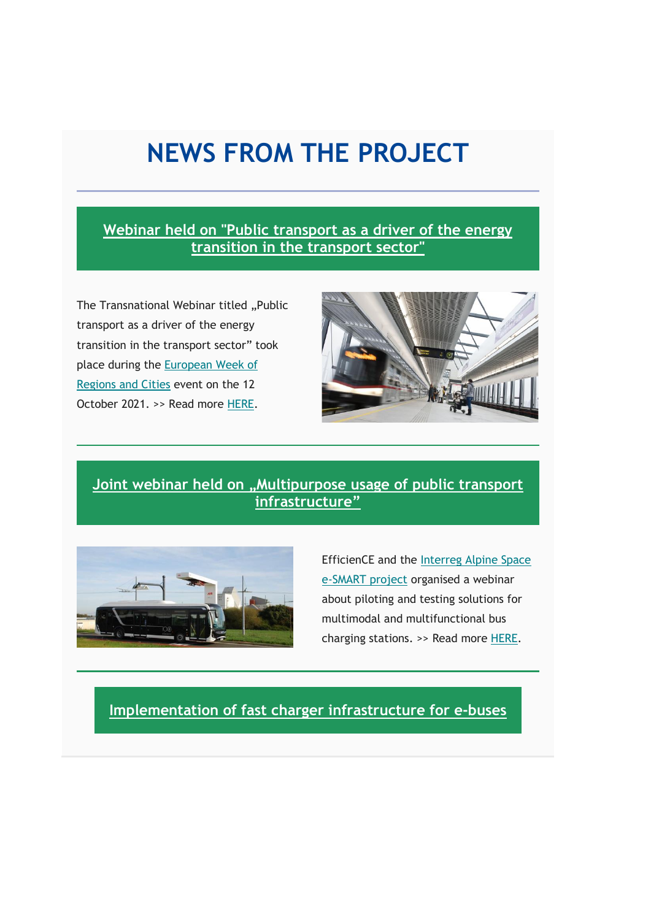## **NEWS FROM THE PROJECT**

**[Webinar held on "Public transport as a driver of the energy](http://interreg-central.eu/Content.Node/Webinar-held-on-Public-transport-as-a-driver-of-the-energ.html)  [transition in the transport sector"](http://interreg-central.eu/Content.Node/Webinar-held-on-Public-transport-as-a-driver-of-the-energ.html)**

The Transnational Webinar titled "Public transport as a driver of the energy transition in the transport sector" took place during the [European Week of](https://europa.eu/regions-and-cities/)  [Regions and Cities](https://europa.eu/regions-and-cities/) event on the 12 October 2021. >> Read more [HERE.](http://interreg-central.eu/Content.Node/Webinar-held-on-Public-transport-as-a-driver-of-the-energ.html)



#### **[Joint webinar held on "Multipurpose](https://www.interreg-central.eu/Content.Node/Joint-webinar-held-on--Multipurpose-usage-of-public-trans.html) usage of public transport [infrastructure"](https://www.interreg-central.eu/Content.Node/Joint-webinar-held-on--Multipurpose-usage-of-public-trans.html)**



EfficienCE and the [Interreg Alpine Space](https://www.alpine-space.org/projects/e-smart/en/home)  [e-SMART project](https://www.alpine-space.org/projects/e-smart/en/home) organised a webinar about piloting and testing solutions for multimodal and multifunctional bus charging stations. >> Read more [HERE.](https://www.interreg-central.eu/Content.Node/Joint-webinar-held-on--Multipurpose-usage-of-public-trans.html)

**[Implementation of fast charger infrastructure for e-buses](http://interreg-central.eu/Content.Node/Implementation-of-fast-charger-infrastructure-for-e-buses.html)**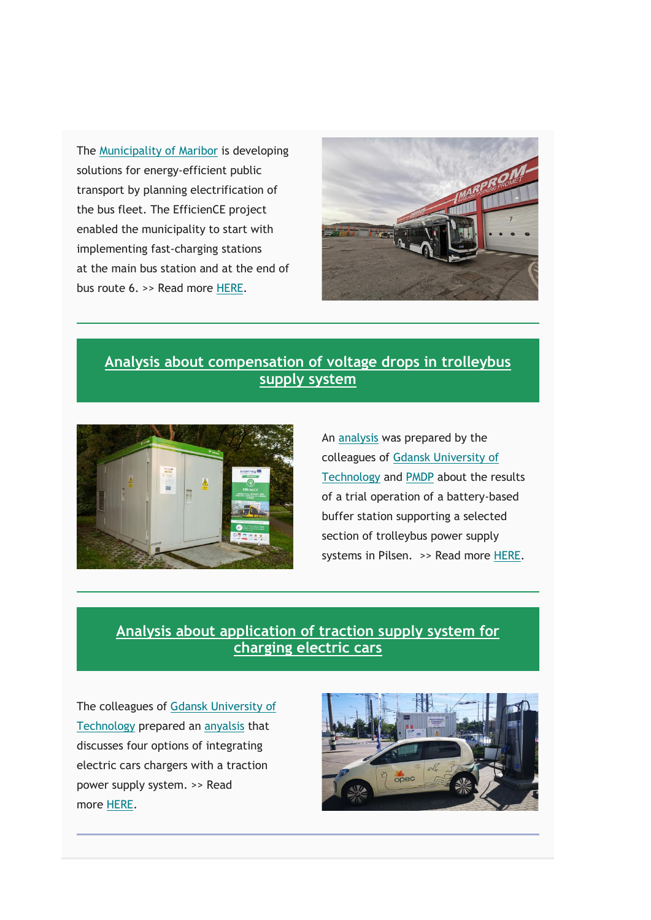The [Municipality of Maribor](https://maribor.si/) is developing solutions for energy-efficient public transport by planning electrification of the bus fleet. The EfficienCE project enabled the municipality to start with implementing fast-charging stations at the main bus station and at the end of bus route 6. >> Read more [HERE.](http://interreg-central.eu/Content.Node/Implementation-of-fast-charger-infrastructure-for-e-buses.html)



### **[Analysis about compensation of voltage drops in](http://interreg-central.eu/Content.Node/Compensation-of-Voltage-Drops-in-Trolleybus-Supply-System.html) trolleybus [supply system](http://interreg-central.eu/Content.Node/Compensation-of-Voltage-Drops-in-Trolleybus-Supply-System.html)**



An [analysis](https://www.mdpi.com/1996-1073/15/5/1629/htm) was prepared by the colleagues of [Gdansk University of](https://pg.edu.pl/en)  [Technology](https://pg.edu.pl/en) and [PMDP](https://www.pmdp.cz/) about the results of a trial operation of a battery-based buffer station supporting a selected section of trolleybus power supply systems in Pilsen. >> Read more [HERE.](http://interreg-central.eu/Content.Node/Compensation-of-Voltage-Drops-in-Trolleybus-Supply-System.html)

### **[Analysis about application of traction supply system for](http://interreg-central.eu/Content.Node/Application-of-Traction-Supply-System-for-Charging-Electr.html)  [charging electric cars](http://interreg-central.eu/Content.Node/Application-of-Traction-Supply-System-for-Charging-Electr.html)**

The colleagues of [Gdansk University of](https://pg.edu.pl/en)  [Technology](https://pg.edu.pl/en) prepared an [anyalsis](https://www.mdpi.com/1996-1073/15/4/1448/htm) that discusses four options of integrating electric cars chargers with a traction power supply system. >> Read more [HERE.](http://interreg-central.eu/Content.Node/Application-of-Traction-Supply-System-for-Charging-Electr.html)

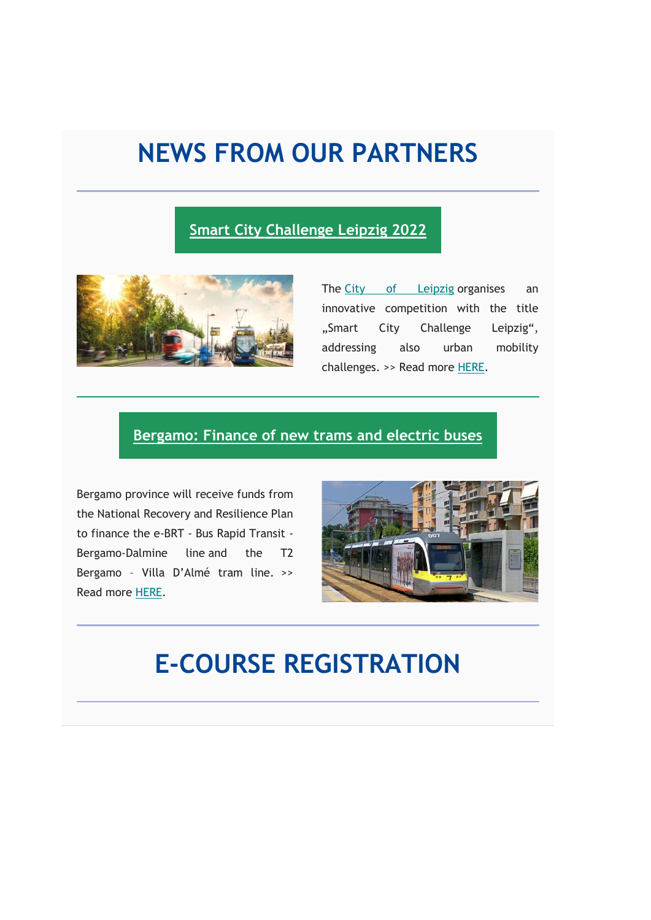## **NEWS FROM OUR PARTNERS**

### **[Smart City Challenge Leipzig 2022](http://interreg-central.eu/Content.Node/Smart-City-Challenge-Leipzig.html)**



The [City of Leipzig](https://www.leipzig.de/) organises an innovative competition with the title "Smart City Challenge Leipzig", addressing also urban mobility challenges. >> Read more [HERE.](http://interreg-central.eu/Content.Node/Smart-City-Challenge-Leipzig.html)

#### **[Bergamo: Finance of new trams and electric buses](https://www.interreg-central.eu/Content.Node/Bergamo--Finance-of-new-trams-and-electric-buses.html)**

Bergamo province will receive funds from the National Recovery and Resilience Plan to finance the e-BRT - Bus Rapid Transit - Bergamo-Dalmine line and the T2 Bergamo – Villa D'Almé tram line. >> Read more [HERE.](https://www.interreg-central.eu/Content.Node/Bergamo--Finance-of-new-trams-and-electric-buses.html)



### **E-COURSE REGISTRATION**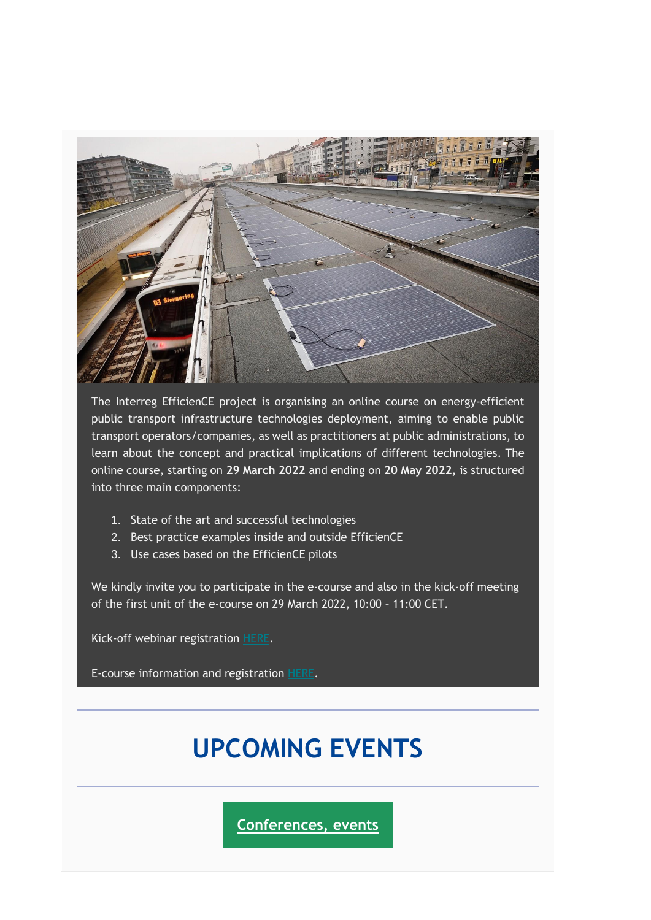

The Interreg EfficienCE project is organising an online course on energy-efficient public transport infrastructure technologies deployment, aiming to enable public transport operators/companies, as well as practitioners at public administrations, to learn about the concept and practical implications of different technologies. The online course, starting on **29 March 2022** and ending on **20 May 2022,** is structured into three main components:

- 1. State of the art and successful technologies
- 2. Best practice examples inside and outside EfficienCE
- 3. Use cases based on the EfficienCE pilots

We kindly invite you to participate in the e-course and also in the kick-off meeting of the first unit of the e-course on 29 March 2022, 10:00 – 11:00 CET.

Kick-off webinar registration [HERE.](https://teams.microsoft.com/registration/YqT3MOy3p0Cg5OVsrjPpJQ,9hyAo47Qx0SH-WoMbKP3nQ,3pJ7G8-DJUS3Awe_IM3MQg,94hsdHpvd0WqdV8-_mHPXQ,8o9MYeuMiE6_56dSVEC8RA,7hxO7D_d6EOKPe4TpXA0Cw?mode=read&tenantId=30f7a462-b7ec-40a7-a0e4-e56cae33e925)

E-course information and registration [HERE.](https://www.mobility-academy.eu/course/view.php?id=131)

# **UPCOMING EVENTS**

**[Conferences, events](http://)**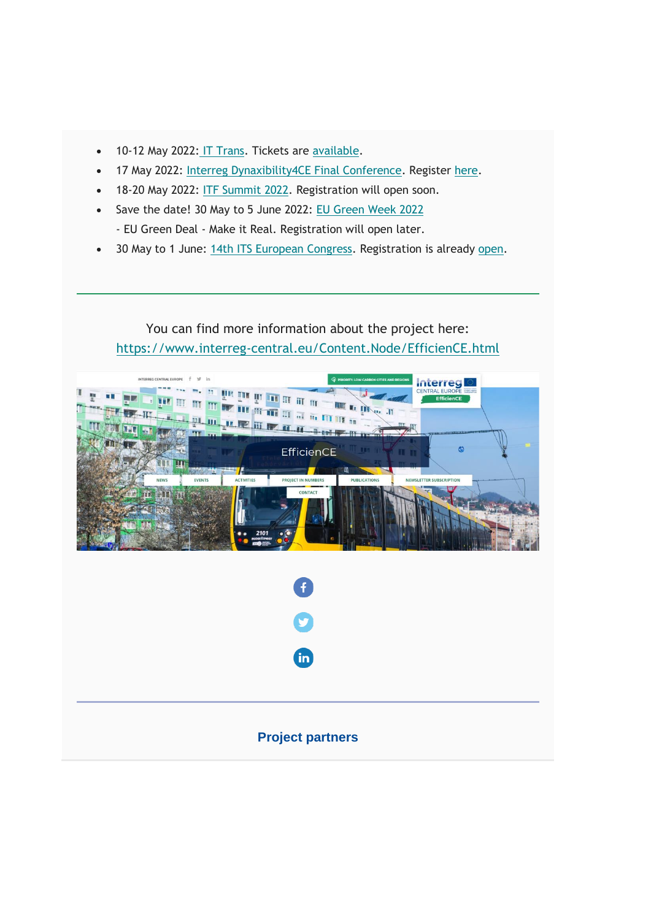- 10-12 May 2022: [IT Trans.](https://www.it-trans.org/de/) Tickets are [available.](https://www.it-trans.org/de/tickets/)
- 17 May 2022: [Interreg Dynaxibility4CE Final Conference.](https://www.interreg-central.eu/Content.Node/Dynaxibility4CE/03-03-2022-Dynaxibility4CE-Final-Conference-.html) Register [here.](https://polisnetwork.civi-go.net/civicrm/event/register?reset=1&id=227)
- 18-20 May 2022: [ITF Summit 2022.](https://2022.itf-oecd.org/) Registration will open soon.
- Save the date! 30 May to 5 June 2022: [EU Green Week 2022](https://ec.europa.eu/environment/eu-green-week-2022_en) - EU Green Deal - Make it Real. Registration will open later.
- 30 May to 1 June: [14th ITS European Congress.](https://itseuropeancongress.com/) Registration is already [open.](https://eu.eventscloud.com/ereg/index.php?eventid=200233213&t=4e62cc0b4757bd65b05a9ab30c088fac&_ga=2.91171290.1960344747.1647868939-216260636.1647868939)

You can find more information about the project here: <https://www.interreg-central.eu/Content.Node/EfficienCE.html>